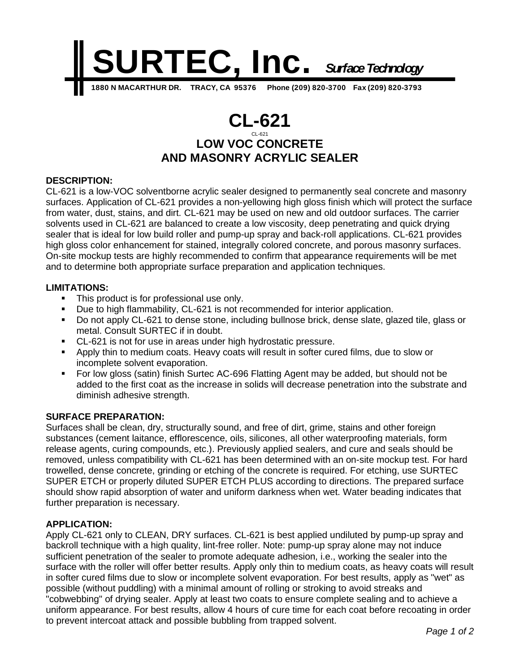

# **CL-621** CL-621 **LOW VOC CONCRETE AND MASONRY ACRYLIC SEALER**

# **DESCRIPTION:**

CL-621 is a low-VOC solventborne acrylic sealer designed to permanently seal concrete and masonry surfaces. Application of CL-621 provides a non-yellowing high gloss finish which will protect the surface from water, dust, stains, and dirt. CL-621 may be used on new and old outdoor surfaces. The carrier solvents used in CL-621 are balanced to create a low viscosity, deep penetrating and quick drying sealer that is ideal for low build roller and pump-up spray and back-roll applications. CL-621 provides high gloss color enhancement for stained, integrally colored concrete, and porous masonry surfaces. On-site mockup tests are highly recommended to confirm that appearance requirements will be met and to determine both appropriate surface preparation and application techniques.

# **LIMITATIONS:**

- This product is for professional use only.
- Due to high flammability, CL-621 is not recommended for interior application.
- Do not apply CL-621 to dense stone, including bullnose brick, dense slate, glazed tile, glass or metal. Consult SURTEC if in doubt.
- CL-621 is not for use in areas under high hydrostatic pressure.
- Apply thin to medium coats. Heavy coats will result in softer cured films, due to slow or incomplete solvent evaporation.
- For low gloss (satin) finish Surtec AC-696 Flatting Agent may be added, but should not be added to the first coat as the increase in solids will decrease penetration into the substrate and diminish adhesive strength.

### **SURFACE PREPARATION:**

Surfaces shall be clean, dry, structurally sound, and free of dirt, grime, stains and other foreign substances (cement laitance, efflorescence, oils, silicones, all other waterproofing materials, form release agents, curing compounds, etc.). Previously applied sealers, and cure and seals should be removed, unless compatibility with CL-621 has been determined with an on-site mockup test. For hard trowelled, dense concrete, grinding or etching of the concrete is required. For etching, use SURTEC SUPER ETCH or properly diluted SUPER ETCH PLUS according to directions. The prepared surface should show rapid absorption of water and uniform darkness when wet. Water beading indicates that further preparation is necessary.

### **APPLICATION:**

Apply CL-621 only to CLEAN, DRY surfaces. CL-621 is best applied undiluted by pump-up spray and backroll technique with a high quality, lint-free roller. Note: pump-up spray alone may not induce sufficient penetration of the sealer to promote adequate adhesion, i.e., working the sealer into the surface with the roller will offer better results. Apply only thin to medium coats, as heavy coats will result in softer cured films due to slow or incomplete solvent evaporation. For best results, apply as "wet" as possible (without puddling) with a minimal amount of rolling or stroking to avoid streaks and "cobwebbing" of drying sealer. Apply at least two coats to ensure complete sealing and to achieve a uniform appearance. For best results, allow 4 hours of cure time for each coat before recoating in order to prevent intercoat attack and possible bubbling from trapped solvent.